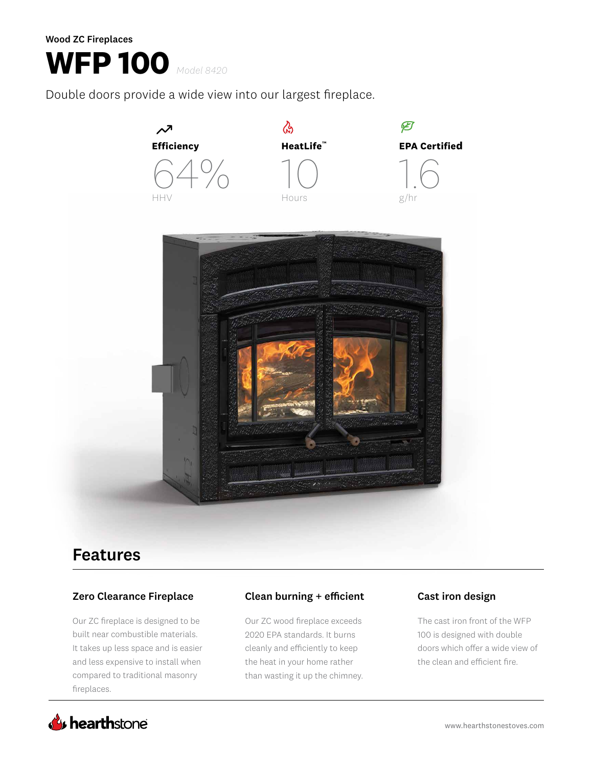Wood ZC Fireplaces

## **WFP 100** *Model 8420*

Double doors provide a wide view into our largest fireplace.



## Features

### Zero Clearance Fireplace

Our ZC fireplace is designed to be built near combustible materials. It takes up less space and is easier and less expensive to install when compared to traditional masonry fireplaces.

### Clean burning + efficient Cast iron design

Our ZC wood fireplace exceeds 2020 EPA standards. It burns cleanly and efficiently to keep the heat in your home rather than wasting it up the chimney.

The cast iron front of the WFP 100 is designed with double doors which offer a wide view of the clean and efficient fire.